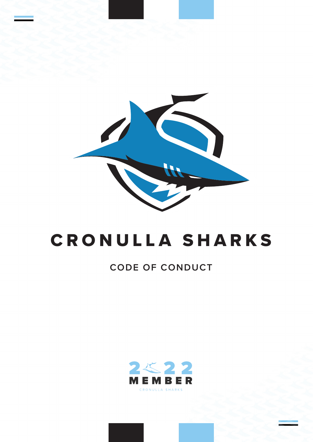

## CRONULLA SHARKS

## **CODE OF CONDUCT**